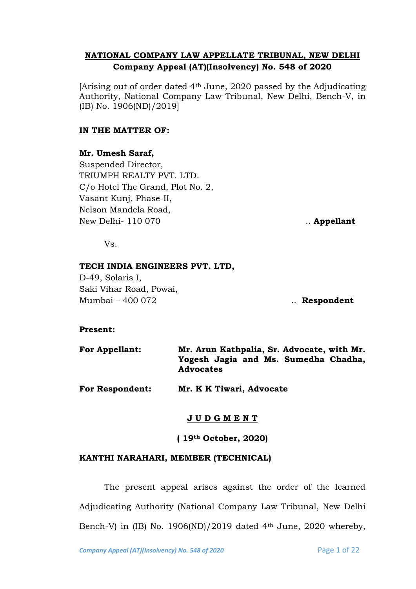# **NATIONAL COMPANY LAW APPELLATE TRIBUNAL, NEW DELHI Company Appeal (AT)(Insolvency) No. 548 of 2020**

[Arising out of order dated 4th June, 2020 passed by the Adjudicating Authority, National Company Law Tribunal, New Delhi, Bench-V, in (IB) No. 1906(ND)/2019]

## **IN THE MATTER OF:**

## **Mr. Umesh Saraf,**

Suspended Director, TRIUMPH REALTY PVT. LTD. C/o Hotel The Grand, Plot No. 2, Vasant Kunj, Phase-II, Nelson Mandela Road, New Delhi- 110 070 ... **Appellant** 

Vs.

## **TECH INDIA ENGINEERS PVT. LTD,**

D-49, Solaris I, Saki Vihar Road, Powai, Mumbai – 400 072 .. **Respondent**

## **Present:**

| <b>For Appellant:</b> | Mr. Arun Kathpalia, Sr. Advocate, with Mr.               |
|-----------------------|----------------------------------------------------------|
|                       | Yogesh Jagia and Ms. Sumedha Chadha,<br><b>Advocates</b> |
|                       |                                                          |

**For Respondent: Mr. K K Tiwari, Advocate** 

# **J U D G M E N T**

**( 19th October, 2020)**

## **KANTHI NARAHARI, MEMBER (TECHNICAL)**

The present appeal arises against the order of the learned Adjudicating Authority (National Company Law Tribunal, New Delhi Bench-V) in (IB) No. 1906(ND)/2019 dated  $4<sup>th</sup>$  June, 2020 whereby,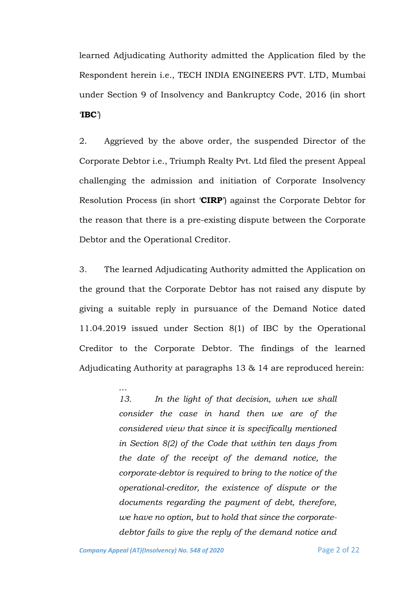learned Adjudicating Authority admitted the Application filed by the Respondent herein i.e., TECH INDIA ENGINEERS PVT. LTD, Mumbai under Section 9 of Insolvency and Bankruptcy Code, 2016 (in short '**IBC**')

2. Aggrieved by the above order, the suspended Director of the Corporate Debtor i.e., Triumph Realty Pvt. Ltd filed the present Appeal challenging the admission and initiation of Corporate Insolvency Resolution Process (in short '**CIRP**') against the Corporate Debtor for the reason that there is a pre-existing dispute between the Corporate Debtor and the Operational Creditor.

3. The learned Adjudicating Authority admitted the Application on the ground that the Corporate Debtor has not raised any dispute by giving a suitable reply in pursuance of the Demand Notice dated 11.04.2019 issued under Section 8(1) of IBC by the Operational Creditor to the Corporate Debtor. The findings of the learned Adjudicating Authority at paragraphs 13 & 14 are reproduced herein:

> *13. In the light of that decision, when we shall consider the case in hand then we are of the considered view that since it is specifically mentioned in Section 8(2) of the Code that within ten days from the date of the receipt of the demand notice, the corporate-debtor is required to bring to the notice of the operational-creditor, the existence of dispute or the documents regarding the payment of debt, therefore, we have no option, but to hold that since the corporatedebtor fails to give the reply of the demand notice and*

…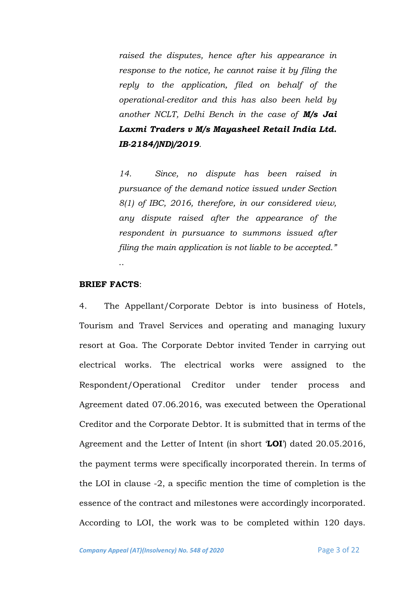*raised the disputes, hence after his appearance in response to the notice, he cannot raise it by filing the reply to the application, filed on behalf of the operational-creditor and this has also been held by another NCLT, Delhi Bench in the case of M/s Jai Laxmi Traders v M/s Mayasheel Retail India Ltd. IB-2184/)ND)/2019*.

*14. Since, no dispute has been raised in pursuance of the demand notice issued under Section 8(1) of IBC, 2016, therefore, in our considered view, any dispute raised after the appearance of the respondent in pursuance to summons issued after filing the main application is not liable to be accepted."* ..

#### **BRIEF FACTS**:

4. The Appellant/Corporate Debtor is into business of Hotels, Tourism and Travel Services and operating and managing luxury resort at Goa. The Corporate Debtor invited Tender in carrying out electrical works. The electrical works were assigned to the Respondent/Operational Creditor under tender process and Agreement dated 07.06.2016, was executed between the Operational Creditor and the Corporate Debtor. It is submitted that in terms of the Agreement and the Letter of Intent (in short '**LOI**') dated 20.05.2016, the payment terms were specifically incorporated therein. In terms of the LOI in clause -2, a specific mention the time of completion is the essence of the contract and milestones were accordingly incorporated. According to LOI, the work was to be completed within 120 days.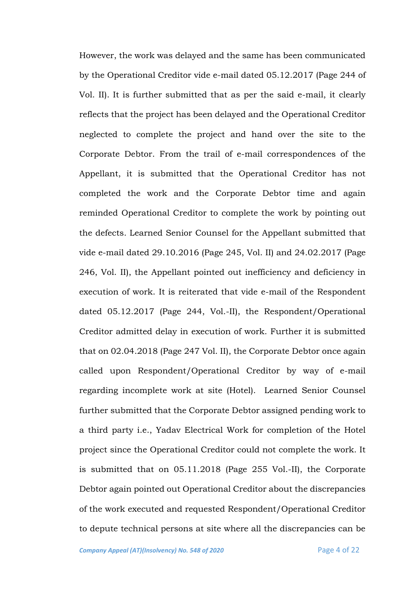However, the work was delayed and the same has been communicated by the Operational Creditor vide e-mail dated 05.12.2017 (Page 244 of Vol. II). It is further submitted that as per the said e-mail, it clearly reflects that the project has been delayed and the Operational Creditor neglected to complete the project and hand over the site to the Corporate Debtor. From the trail of e-mail correspondences of the Appellant, it is submitted that the Operational Creditor has not completed the work and the Corporate Debtor time and again reminded Operational Creditor to complete the work by pointing out the defects. Learned Senior Counsel for the Appellant submitted that vide e-mail dated 29.10.2016 (Page 245, Vol. II) and 24.02.2017 (Page 246, Vol. II), the Appellant pointed out inefficiency and deficiency in execution of work. It is reiterated that vide e-mail of the Respondent dated 05.12.2017 (Page 244, Vol.-II), the Respondent/Operational Creditor admitted delay in execution of work. Further it is submitted that on 02.04.2018 (Page 247 Vol. II), the Corporate Debtor once again called upon Respondent/Operational Creditor by way of e-mail regarding incomplete work at site (Hotel). Learned Senior Counsel further submitted that the Corporate Debtor assigned pending work to a third party i.e., Yadav Electrical Work for completion of the Hotel project since the Operational Creditor could not complete the work. It is submitted that on 05.11.2018 (Page 255 Vol.-II), the Corporate Debtor again pointed out Operational Creditor about the discrepancies of the work executed and requested Respondent/Operational Creditor to depute technical persons at site where all the discrepancies can be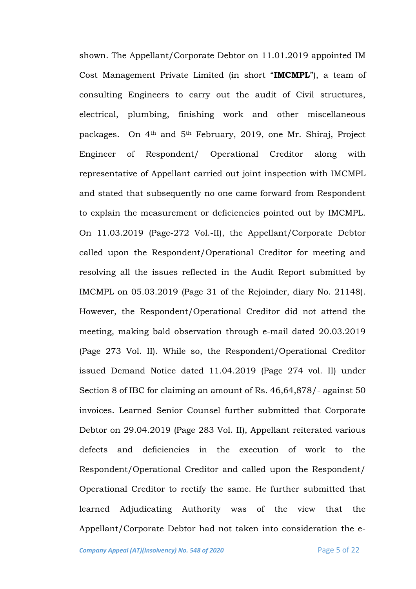shown. The Appellant/Corporate Debtor on 11.01.2019 appointed IM Cost Management Private Limited (in short "**IMCMPL**"), a team of consulting Engineers to carry out the audit of Civil structures, electrical, plumbing, finishing work and other miscellaneous packages. On 4th and 5th February, 2019, one Mr. Shiraj, Project Engineer of Respondent/ Operational Creditor along with representative of Appellant carried out joint inspection with IMCMPL and stated that subsequently no one came forward from Respondent to explain the measurement or deficiencies pointed out by IMCMPL. On 11.03.2019 (Page-272 Vol.-II), the Appellant/Corporate Debtor called upon the Respondent/Operational Creditor for meeting and resolving all the issues reflected in the Audit Report submitted by IMCMPL on 05.03.2019 (Page 31 of the Rejoinder, diary No. 21148). However, the Respondent/Operational Creditor did not attend the meeting, making bald observation through e-mail dated 20.03.2019 (Page 273 Vol. II). While so, the Respondent/Operational Creditor issued Demand Notice dated 11.04.2019 (Page 274 vol. II) under Section 8 of IBC for claiming an amount of Rs. 46,64,878/- against 50 invoices. Learned Senior Counsel further submitted that Corporate Debtor on 29.04.2019 (Page 283 Vol. II), Appellant reiterated various defects and deficiencies in the execution of work to the Respondent/Operational Creditor and called upon the Respondent/ Operational Creditor to rectify the same. He further submitted that learned Adjudicating Authority was of the view that the Appellant/Corporate Debtor had not taken into consideration the e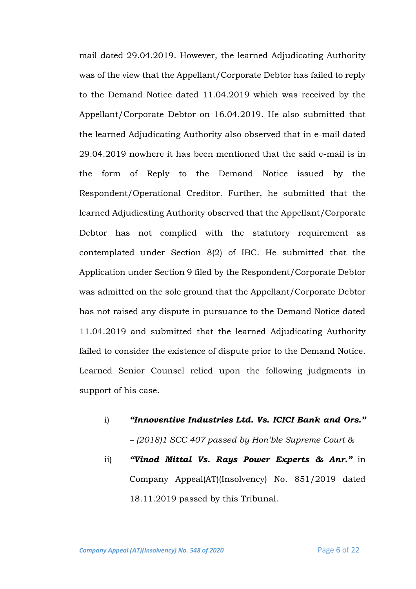mail dated 29.04.2019. However, the learned Adjudicating Authority was of the view that the Appellant/Corporate Debtor has failed to reply to the Demand Notice dated 11.04.2019 which was received by the Appellant/Corporate Debtor on 16.04.2019. He also submitted that the learned Adjudicating Authority also observed that in e-mail dated 29.04.2019 nowhere it has been mentioned that the said e-mail is in the form of Reply to the Demand Notice issued by the Respondent/Operational Creditor. Further, he submitted that the learned Adjudicating Authority observed that the Appellant/Corporate Debtor has not complied with the statutory requirement as contemplated under Section 8(2) of IBC. He submitted that the Application under Section 9 filed by the Respondent/Corporate Debtor was admitted on the sole ground that the Appellant/Corporate Debtor has not raised any dispute in pursuance to the Demand Notice dated 11.04.2019 and submitted that the learned Adjudicating Authority failed to consider the existence of dispute prior to the Demand Notice. Learned Senior Counsel relied upon the following judgments in support of his case.

- i) *"Innoventive Industries Ltd. Vs. ICICI Bank and Ors." – (2018)1 SCC 407 passed by Hon'ble Supreme Court &*
- ii) *"Vinod Mittal Vs. Rays Power Experts & Anr."* in Company Appeal(AT)(Insolvency) No. 851/2019 dated 18.11.2019 passed by this Tribunal.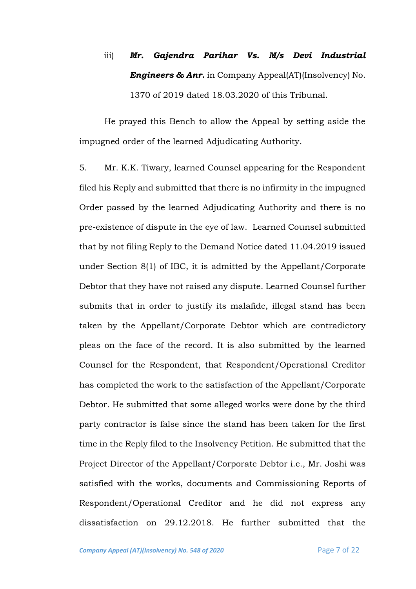# iii) *Mr. Gajendra Parihar Vs. M/s Devi Industrial Engineers & Anr.* in Company Appeal(AT)(Insolvency) No. 1370 of 2019 dated 18.03.2020 of this Tribunal.

He prayed this Bench to allow the Appeal by setting aside the impugned order of the learned Adjudicating Authority.

5. Mr. K.K. Tiwary, learned Counsel appearing for the Respondent filed his Reply and submitted that there is no infirmity in the impugned Order passed by the learned Adjudicating Authority and there is no pre-existence of dispute in the eye of law. Learned Counsel submitted that by not filing Reply to the Demand Notice dated 11.04.2019 issued under Section 8(1) of IBC, it is admitted by the Appellant/Corporate Debtor that they have not raised any dispute. Learned Counsel further submits that in order to justify its malafide, illegal stand has been taken by the Appellant/Corporate Debtor which are contradictory pleas on the face of the record. It is also submitted by the learned Counsel for the Respondent, that Respondent/Operational Creditor has completed the work to the satisfaction of the Appellant/Corporate Debtor. He submitted that some alleged works were done by the third party contractor is false since the stand has been taken for the first time in the Reply filed to the Insolvency Petition. He submitted that the Project Director of the Appellant/Corporate Debtor i.e., Mr. Joshi was satisfied with the works, documents and Commissioning Reports of Respondent/Operational Creditor and he did not express any dissatisfaction on 29.12.2018. He further submitted that the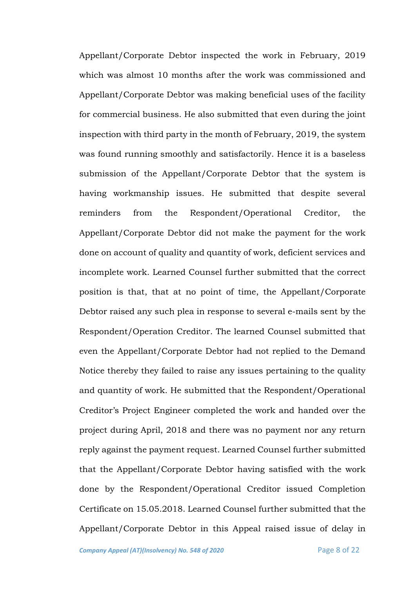Appellant/Corporate Debtor inspected the work in February, 2019 which was almost 10 months after the work was commissioned and Appellant/Corporate Debtor was making beneficial uses of the facility for commercial business. He also submitted that even during the joint inspection with third party in the month of February, 2019, the system was found running smoothly and satisfactorily. Hence it is a baseless submission of the Appellant/Corporate Debtor that the system is having workmanship issues. He submitted that despite several reminders from the Respondent/Operational Creditor, the Appellant/Corporate Debtor did not make the payment for the work done on account of quality and quantity of work, deficient services and incomplete work. Learned Counsel further submitted that the correct position is that, that at no point of time, the Appellant/Corporate Debtor raised any such plea in response to several e-mails sent by the Respondent/Operation Creditor. The learned Counsel submitted that even the Appellant/Corporate Debtor had not replied to the Demand Notice thereby they failed to raise any issues pertaining to the quality and quantity of work. He submitted that the Respondent/Operational Creditor's Project Engineer completed the work and handed over the project during April, 2018 and there was no payment nor any return reply against the payment request. Learned Counsel further submitted that the Appellant/Corporate Debtor having satisfied with the work done by the Respondent/Operational Creditor issued Completion Certificate on 15.05.2018. Learned Counsel further submitted that the Appellant/Corporate Debtor in this Appeal raised issue of delay in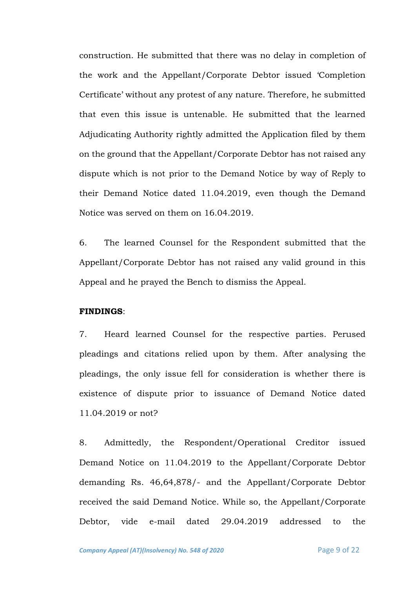construction. He submitted that there was no delay in completion of the work and the Appellant/Corporate Debtor issued 'Completion Certificate' without any protest of any nature. Therefore, he submitted that even this issue is untenable. He submitted that the learned Adjudicating Authority rightly admitted the Application filed by them on the ground that the Appellant/Corporate Debtor has not raised any dispute which is not prior to the Demand Notice by way of Reply to their Demand Notice dated 11.04.2019, even though the Demand Notice was served on them on 16.04.2019.

6. The learned Counsel for the Respondent submitted that the Appellant/Corporate Debtor has not raised any valid ground in this Appeal and he prayed the Bench to dismiss the Appeal.

#### **FINDINGS**:

7. Heard learned Counsel for the respective parties. Perused pleadings and citations relied upon by them. After analysing the pleadings, the only issue fell for consideration is whether there is existence of dispute prior to issuance of Demand Notice dated 11.04.2019 or not?

8. Admittedly, the Respondent/Operational Creditor issued Demand Notice on 11.04.2019 to the Appellant/Corporate Debtor demanding Rs. 46,64,878/- and the Appellant/Corporate Debtor received the said Demand Notice. While so, the Appellant/Corporate Debtor, vide e-mail dated 29.04.2019 addressed to the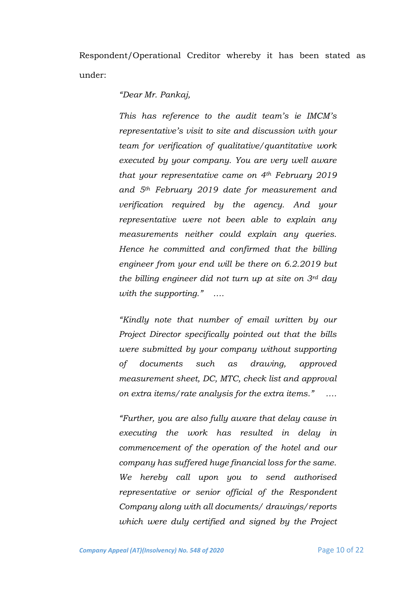Respondent/Operational Creditor whereby it has been stated as under:

*"Dear Mr. Pankaj,*

*This has reference to the audit team's ie IMCM's representative's visit to site and discussion with your team for verification of qualitative/quantitative work executed by your company. You are very well aware that your representative came on 4th February 2019 and 5th February 2019 date for measurement and verification required by the agency. And your representative were not been able to explain any measurements neither could explain any queries. Hence he committed and confirmed that the billing engineer from your end will be there on 6.2.2019 but the billing engineer did not turn up at site on 3rd day with the supporting." ….*

*"Kindly note that number of email written by our Project Director specifically pointed out that the bills were submitted by your company without supporting of documents such as drawing, approved measurement sheet, DC, MTC, check list and approval on extra items/rate analysis for the extra items." ….*

*"Further, you are also fully aware that delay cause in executing the work has resulted in delay in commencement of the operation of the hotel and our company has suffered huge financial loss for the same. We hereby call upon you to send authorised representative or senior official of the Respondent Company along with all documents/ drawings/reports which were duly certified and signed by the Project*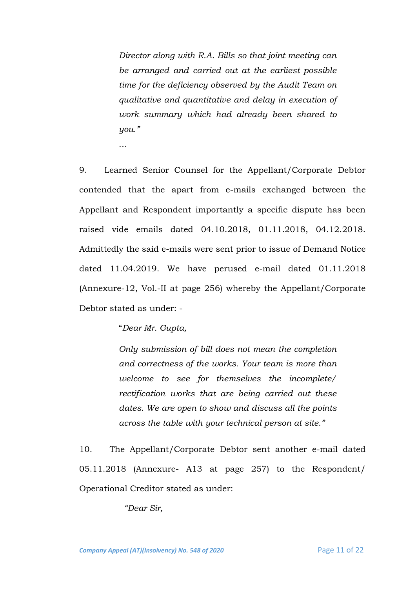*Director along with R.A. Bills so that joint meeting can be arranged and carried out at the earliest possible time for the deficiency observed by the Audit Team on qualitative and quantitative and delay in execution of work summary which had already been shared to you."*

9. Learned Senior Counsel for the Appellant/Corporate Debtor contended that the apart from e-mails exchanged between the Appellant and Respondent importantly a specific dispute has been raised vide emails dated 04.10.2018, 01.11.2018, 04.12.2018. Admittedly the said e-mails were sent prior to issue of Demand Notice dated 11.04.2019. We have perused e-mail dated 01.11.2018 (Annexure-12, Vol.-II at page 256) whereby the Appellant/Corporate Debtor stated as under: -

"*Dear Mr. Gupta,*

…

*Only submission of bill does not mean the completion and correctness of the works. Your team is more than welcome to see for themselves the incomplete/ rectification works that are being carried out these dates. We are open to show and discuss all the points across the table with your technical person at site."*

10. The Appellant/Corporate Debtor sent another e-mail dated 05.11.2018 (Annexure- A13 at page 257) to the Respondent/ Operational Creditor stated as under:

*"Dear Sir,*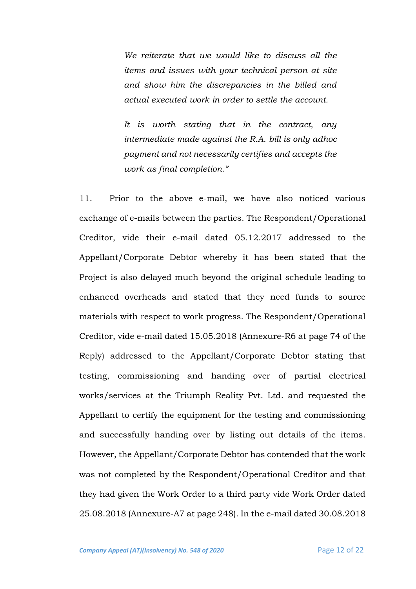*We reiterate that we would like to discuss all the items and issues with your technical person at site and show him the discrepancies in the billed and actual executed work in order to settle the account.*

*It is worth stating that in the contract, any intermediate made against the R.A. bill is only adhoc payment and not necessarily certifies and accepts the work as final completion."*

11.Prior to the above e-mail, we have also noticed various exchange of e-mails between the parties. The Respondent/Operational Creditor, vide their e-mail dated 05.12.2017 addressed to the Appellant/Corporate Debtor whereby it has been stated that the Project is also delayed much beyond the original schedule leading to enhanced overheads and stated that they need funds to source materials with respect to work progress. The Respondent/Operational Creditor, vide e-mail dated 15.05.2018 (Annexure-R6 at page 74 of the Reply) addressed to the Appellant/Corporate Debtor stating that testing, commissioning and handing over of partial electrical works/services at the Triumph Reality Pvt. Ltd. and requested the Appellant to certify the equipment for the testing and commissioning and successfully handing over by listing out details of the items. However, the Appellant/Corporate Debtor has contended that the work was not completed by the Respondent/Operational Creditor and that they had given the Work Order to a third party vide Work Order dated 25.08.2018 (Annexure-A7 at page 248). In the e-mail dated 30.08.2018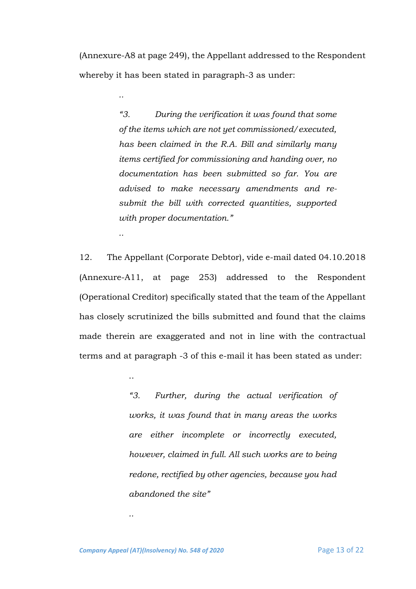(Annexure-A8 at page 249), the Appellant addressed to the Respondent whereby it has been stated in paragraph-3 as under:

*..*

*..*

..

*"3. During the verification it was found that some of the items which are not yet commissioned/executed, has been claimed in the R.A. Bill and similarly many items certified for commissioning and handing over, no documentation has been submitted so far. You are advised to make necessary amendments and resubmit the bill with corrected quantities, supported with proper documentation."*

12. The Appellant (Corporate Debtor), vide e-mail dated 04.10.2018 (Annexure-A11, at page 253) addressed to the Respondent (Operational Creditor) specifically stated that the team of the Appellant has closely scrutinized the bills submitted and found that the claims made therein are exaggerated and not in line with the contractual terms and at paragraph -3 of this e-mail it has been stated as under:

> *"3. Further, during the actual verification of works, it was found that in many areas the works are either incomplete or incorrectly executed, however, claimed in full. All such works are to being redone, rectified by other agencies, because you had abandoned the site"*

*Company Appeal (AT)(Insolvency) No. 548 of 2020* Page 13 of 22

*..*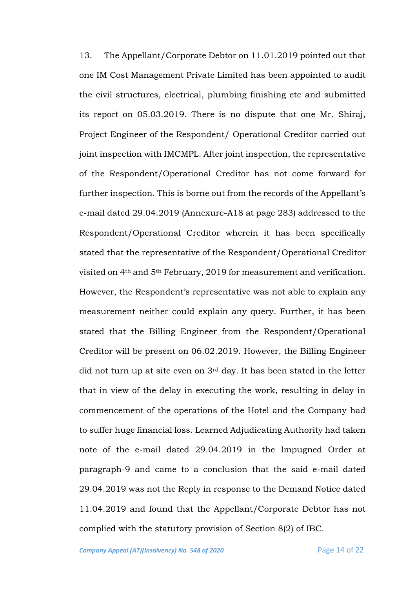13. The Appellant/Corporate Debtor on 11.01.2019 pointed out that one IM Cost Management Private Limited has been appointed to audit the civil structures, electrical, plumbing finishing etc and submitted its report on 05.03.2019. There is no dispute that one Mr. Shiraj, Project Engineer of the Respondent/ Operational Creditor carried out joint inspection with IMCMPL. After joint inspection, the representative of the Respondent/Operational Creditor has not come forward for further inspection. This is borne out from the records of the Appellant's e-mail dated 29.04.2019 (Annexure-A18 at page 283) addressed to the Respondent/Operational Creditor wherein it has been specifically stated that the representative of the Respondent/Operational Creditor visited on 4th and 5th February, 2019 for measurement and verification. However, the Respondent's representative was not able to explain any measurement neither could explain any query. Further, it has been stated that the Billing Engineer from the Respondent/Operational Creditor will be present on 06.02.2019. However, the Billing Engineer did not turn up at site even on 3rd day. It has been stated in the letter that in view of the delay in executing the work, resulting in delay in commencement of the operations of the Hotel and the Company had to suffer huge financial loss. Learned Adjudicating Authority had taken note of the e-mail dated 29.04.2019 in the Impugned Order at paragraph-9 and came to a conclusion that the said e-mail dated 29.04.2019 was not the Reply in response to the Demand Notice dated 11.04.2019 and found that the Appellant/Corporate Debtor has not complied with the statutory provision of Section 8(2) of IBC.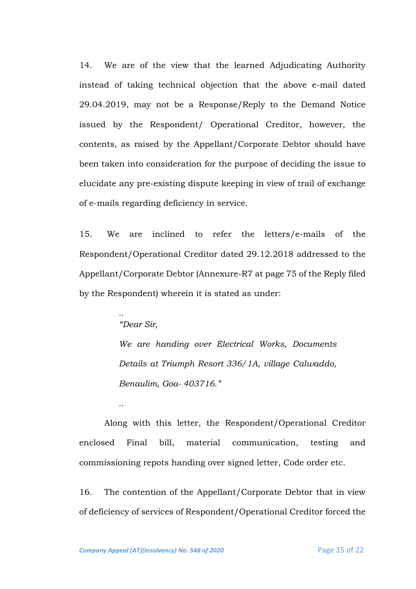14. We are of the view that the learned Adjudicating Authority instead of taking technical objection that the above e-mail dated 29.04.2019, may not be a Response/Reply to the Demand Notice issued by the Respondent/ Operational Creditor, however, the contents, as raised by the Appellant/Corporate Debtor should have been taken into consideration for the purpose of deciding the issue to elucidate any pre-existing dispute keeping in view of trail of exchange of e-mails regarding deficiency in service.

15. We are inclined to refer the letters/e-mails of the Respondent/Operational Creditor dated 29.12.2018 addressed to the Appellant/Corporate Debtor (Annexure-R7 at page 75 of the Reply filed by the Respondent) wherein it is stated as under:

*"Dear Sir,*

*..*

*..*

*We are handing over Electrical Works, Documents Details at Triumph Resort 336/1A, village Calwaddo, Benaulim, Goa- 403716."*

Along with this letter, the Respondent/Operational Creditor enclosed Final bill, material communication, testing and commissioning repots handing over signed letter, Code order etc.

16. The contention of the Appellant/Corporate Debtor that in view of deficiency of services of Respondent/Operational Creditor forced the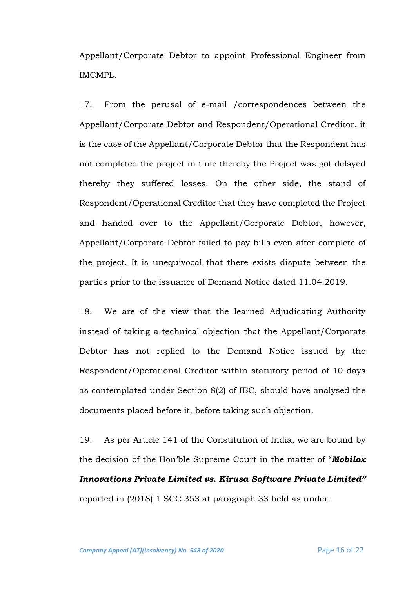Appellant/Corporate Debtor to appoint Professional Engineer from IMCMPL.

17. From the perusal of e-mail /correspondences between the Appellant/Corporate Debtor and Respondent/Operational Creditor, it is the case of the Appellant/Corporate Debtor that the Respondent has not completed the project in time thereby the Project was got delayed thereby they suffered losses. On the other side, the stand of Respondent/Operational Creditor that they have completed the Project and handed over to the Appellant/Corporate Debtor, however, Appellant/Corporate Debtor failed to pay bills even after complete of the project. It is unequivocal that there exists dispute between the parties prior to the issuance of Demand Notice dated 11.04.2019.

18. We are of the view that the learned Adjudicating Authority instead of taking a technical objection that the Appellant/Corporate Debtor has not replied to the Demand Notice issued by the Respondent/Operational Creditor within statutory period of 10 days as contemplated under Section 8(2) of IBC, should have analysed the documents placed before it, before taking such objection.

19. As per Article 141 of the Constitution of India, we are bound by the decision of the Hon'ble Supreme Court in the matter of "*Mobilox Innovations Private Limited vs. Kirusa Software Private Limited"* reported in (2018) 1 SCC 353 at paragraph 33 held as under: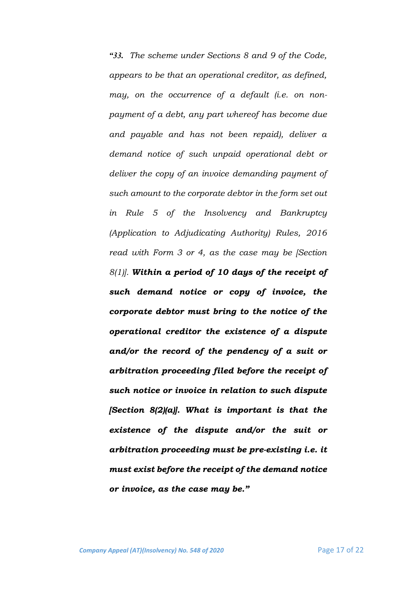*"33. The scheme under Sections 8 and 9 of the Code, appears to be that an operational creditor, as defined, may, on the occurrence of a default (i.e. on nonpayment of a debt, any part whereof has become due and payable and has not been repaid), deliver a demand notice of such unpaid operational debt or deliver the copy of an invoice demanding payment of such amount to the corporate debtor in the form set out in Rule 5 of the Insolvency and Bankruptcy (Application to Adjudicating Authority) Rules, 2016 read with Form 3 or 4, as the case may be [Section 8(1)]. Within a period of 10 days of the receipt of such demand notice or copy of invoice, the corporate debtor must bring to the notice of the operational creditor the existence of a dispute and/or the record of the pendency of a suit or arbitration proceeding filed before the receipt of such notice or invoice in relation to such dispute [Section 8(2)(a)]. What is important is that the existence of the dispute and/or the suit or arbitration proceeding must be pre-existing i.e. it must exist before the receipt of the demand notice or invoice, as the case may be."*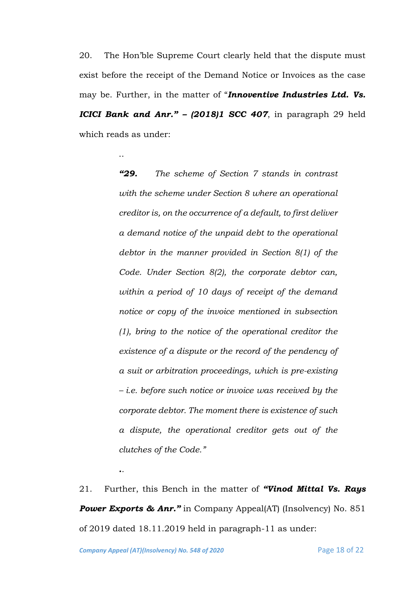20. The Hon'ble Supreme Court clearly held that the dispute must exist before the receipt of the Demand Notice or Invoices as the case may be. Further, in the matter of "*Innoventive Industries Ltd. Vs. ICICI Bank and Anr." – (2018)1 SCC 407*, in paragraph 29 held which reads as under:

> *"29. The scheme of Section 7 stands in contrast with the scheme under Section 8 where an operational creditor is, on the occurrence of a default, to first deliver a demand notice of the unpaid debt to the operational debtor in the manner provided in Section 8(1) of the Code. Under Section 8(2), the corporate debtor can, within a period of 10 days of receipt of the demand notice or copy of the invoice mentioned in subsection (1), bring to the notice of the operational creditor the existence of a dispute or the record of the pendency of a suit or arbitration proceedings, which is pre-existing – i.e. before such notice or invoice was received by the corporate debtor. The moment there is existence of such a dispute, the operational creditor gets out of the clutches of the Code."*

21. Further, this Bench in the matter of *"Vinod Mittal Vs. Rays Power Exports & Anr.*" in Company Appeal(AT) (Insolvency) No. 851 of 2019 dated 18.11.2019 held in paragraph-11 as under:

*..*

..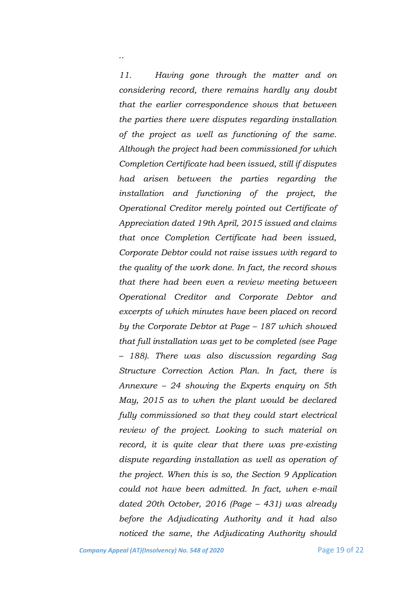*11. Having gone through the matter and on considering record, there remains hardly any doubt that the earlier correspondence shows that between the parties there were disputes regarding installation of the project as well as functioning of the same. Although the project had been commissioned for which Completion Certificate had been issued, still if disputes had arisen between the parties regarding the installation and functioning of the project, the Operational Creditor merely pointed out Certificate of Appreciation dated 19th April, 2015 issued and claims that once Completion Certificate had been issued, Corporate Debtor could not raise issues with regard to the quality of the work done. In fact, the record shows that there had been even a review meeting between Operational Creditor and Corporate Debtor and excerpts of which minutes have been placed on record by the Corporate Debtor at Page – 187 which showed that full installation was yet to be completed (see Page – 188). There was also discussion regarding Sag Structure Correction Action Plan. In fact, there is Annexure – 24 showing the Experts enquiry on 5th May, 2015 as to when the plant would be declared fully commissioned so that they could start electrical review of the project. Looking to such material on record, it is quite clear that there was pre-existing dispute regarding installation as well as operation of the project. When this is so, the Section 9 Application could not have been admitted. In fact, when e-mail dated 20th October, 2016 (Page – 431) was already before the Adjudicating Authority and it had also noticed the same, the Adjudicating Authority should* 

..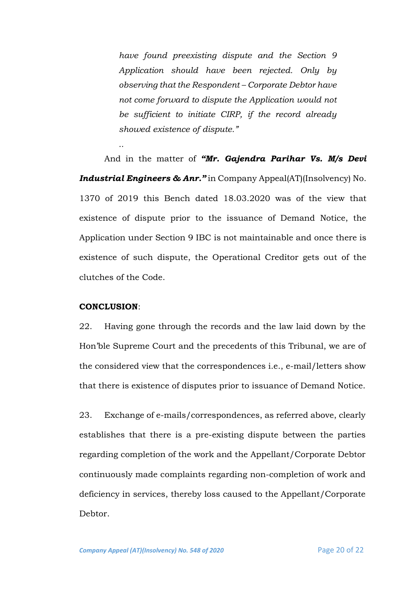*have found preexisting dispute and the Section 9 Application should have been rejected. Only by observing that the Respondent – Corporate Debtor have not come forward to dispute the Application would not be sufficient to initiate CIRP, if the record already showed existence of dispute."*

And in the matter of *"Mr. Gajendra Parihar Vs. M/s Devi Industrial Engineers & Anr."* in Company Appeal(AT)(Insolvency) No. 1370 of 2019 this Bench dated 18.03.2020 was of the view that existence of dispute prior to the issuance of Demand Notice, the Application under Section 9 IBC is not maintainable and once there is existence of such dispute, the Operational Creditor gets out of the clutches of the Code.

#### **CONCLUSION**:

*..*

22. Having gone through the records and the law laid down by the Hon'ble Supreme Court and the precedents of this Tribunal, we are of the considered view that the correspondences i.e., e-mail/letters show that there is existence of disputes prior to issuance of Demand Notice.

23. Exchange of e-mails/correspondences, as referred above, clearly establishes that there is a pre-existing dispute between the parties regarding completion of the work and the Appellant/Corporate Debtor continuously made complaints regarding non-completion of work and deficiency in services, thereby loss caused to the Appellant/Corporate Debtor.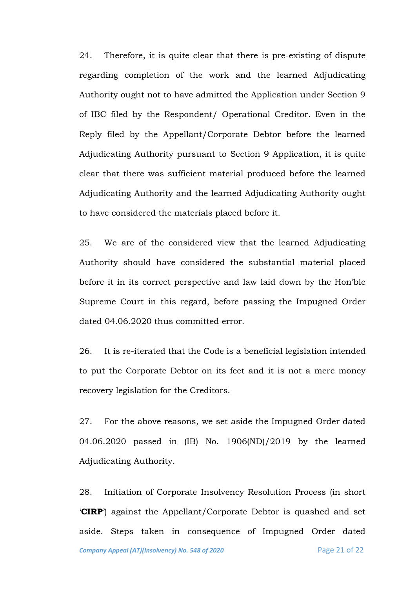24. Therefore, it is quite clear that there is pre-existing of dispute regarding completion of the work and the learned Adjudicating Authority ought not to have admitted the Application under Section 9 of IBC filed by the Respondent/ Operational Creditor. Even in the Reply filed by the Appellant/Corporate Debtor before the learned Adjudicating Authority pursuant to Section 9 Application, it is quite clear that there was sufficient material produced before the learned Adjudicating Authority and the learned Adjudicating Authority ought to have considered the materials placed before it.

25. We are of the considered view that the learned Adjudicating Authority should have considered the substantial material placed before it in its correct perspective and law laid down by the Hon'ble Supreme Court in this regard, before passing the Impugned Order dated 04.06.2020 thus committed error.

26. It is re-iterated that the Code is a beneficial legislation intended to put the Corporate Debtor on its feet and it is not a mere money recovery legislation for the Creditors.

27. For the above reasons, we set aside the Impugned Order dated 04.06.2020 passed in (IB) No. 1906(ND)/2019 by the learned Adjudicating Authority.

28. Initiation of Corporate Insolvency Resolution Process (in short '**CIRP**') against the Appellant/Corporate Debtor is quashed and set aside. Steps taken in consequence of Impugned Order dated